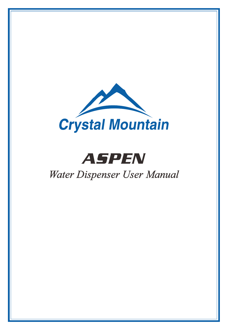

# ASPEN

## *Water Dispenser User Manual*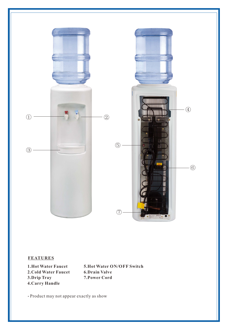

#### **FEATURES**

**1.Hot Water Faucet 2.Cold Water Faucet 3.Drip Tray 4.Carry Handle**

**5.Hot Water ON/OFF Switch 6.Drain Valve 7.Power Cord**

Product may not appear exactly as show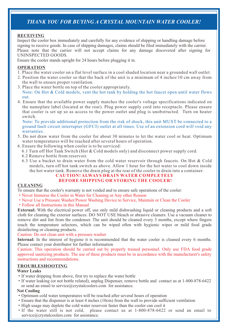### *THANK YOU FOR BUYING A CRYSTAL MOUNTAIN WATER COOLER!*

#### **RECEIVING**

Inspect the cooler box immediately and carefully for any evidence of shipping or handling damage before signing to receive goods. In case of shipping damages, claims should be filed immediately with the carrier. Please note that the carrier will not accept claims for any damage discovered after signing for UNINSPECTED GOODS.

Ensure the cooler stands upright for 24 hours before plugging it in.

#### **OPERATION**

- 1. Place the water cooler on a flat level surface in a cool shaded location near a grounded wall outlet.
- 2. Position the water cooler so that the back of the unit is a minimum of 4 inches/10 cm away from the wall to ensure proper ventilation.
- Note: On Hot & Cold models, vent the hot tank by holding the hot faucet open until water flows out. 3. Place the water bottle on top of the cooler appropriately.
- 4. Ensure that the available power supply matches the cooler's voltage specifications indicated on the nameplate label (located at the rear). Plug power supply cord into receptacle. Please ensure that cooler is set up so as access to the power outlet and plug is unobstructed. Turn on heater switch.

Note: To provide additional protection from the risk of shock, this unit MUST be connected to a ground fault circuit interrupter (GFCI) outlet at all times. Use of an extension cord will void any warranties.

- 5. Do not draw water from the cooler for about 30 minutes to let the water cool or heat. Optimum water temperatures will be reached after several hours of operation.
- 6. Ensure the following when cooler is to be serviced:
	- 6.1 Turn off Hot Tank Switch (Hot & Cold models only) and disconnect power supply cord.
	- 6.2 Remove bottle from reservoir.
	- 6.3 Use a bucket to drain water from the cold water reservoir through faucets. On Hot & Cold models, turn off hot tank switch as above. Allow 1 hour for the hot water to cool down inside the hot water tank. Remove the drain plug at the rear of the cooler to drain into a container.

#### **BEFORE SHIPPING OR STORING THE COOLER! CAUTION! ALWAYS DRAIN WATER COMPLETELY**

#### **CLEANING**

To ensure that the cooler's warranty is not voided and to ensure safe operations of the cooler:

- ·Never Immerse the Cooler in Water for Cleaning or Any other Reason
- ·Never Use a Pressure Washer/Power Washing Device to Service, Maintain or Clean the Cooler
- ·Follow all Instructions in this Manual

**External:** With the electrical power off, use only mild dishwashing liquid or cleaning products and a soft cloth for cleaning the exterior surfaces. DO NOT USE bleach or abrasive cleaners. Use a vacuum cleaner to remove dirt and lint from the condenser. The unit should be cleaned every 3 months, except where fingers touch the temperature selectors, which can be wiped often with hygienic wipes or mild food grade disinfecting or cleaning products.

#### Caution: Do not clean unit with a pressure washer

**Internal:** In the interest of hygiene it is recommended that the water cooler is cleaned every 6 months. Please contact your distributor for further information

Caution: This operation should be carried out by properly trained personnel. Only use FDA food grade approved sanitizing products. The use of these products must be in accordance with the manufacturer's safety instructions and recommendations.

#### **TROUBLESHOOTING**

#### **Water Leaks**

- ·If water dripping from above, first try to replace the water bottle
- ·If water leaking (or not bottle related), unplug Dispenser, remove bottle and contact us at 1-800-878-6422 or send an email to service@crystalcoolers.com for assistance.

#### **Not Cooling**

- ·Optimum cold water temperatures will be reached after several hours of operation
- ·Ensure that the dispenser is at least 4 inches (10cm) from the wall to provide sufficient ventilation
- ·High usage may deplete the cold water reservoir faster than the cooler can cool it
- ·If the water still is not cold, please contact us at 1-800-878-6422 or send an email to service@crystalcoolers.com for assistance.